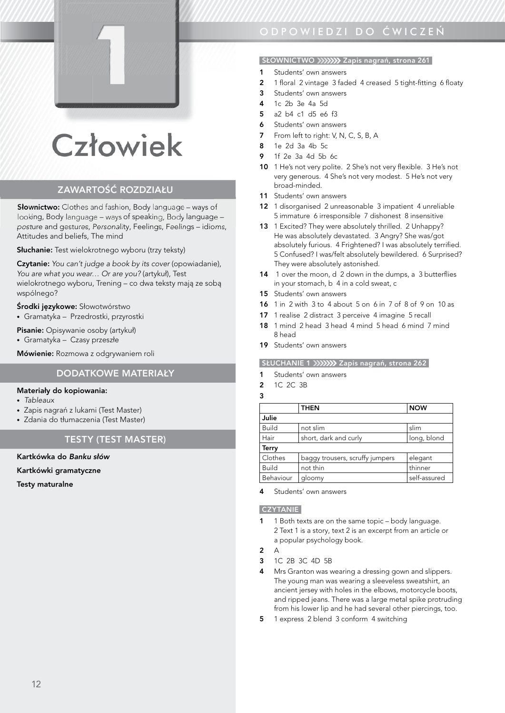

# **Człowiek**

# ZAWARTOŚĆ ROZDZIAŁU

Słownictwo: Clothes and fashion, Body language – ways of looking, Body language – ways of speaking, Body language – posture and gestures, Personality, Feelings, Feelings – idioms, Attitudes and beliefs, The mind

Słuchanie: Test wielokrotnego wyboru (trzy teksty)

Czytanie: *You can't judge a book by its cover* (opowiadanie), *You are what you wear… Or are you?* (artykuł), Test wielokrotnego wyboru, Trening – co dwa teksty mają ze sobą wspólnego?

#### Środki językowe: Słowotwórstwo

• Gramatyka – Przedrostki, przyrostki

Pisanie: Opisywanie osoby (artykuł)

• Gramatyka – Czasy przeszłe

Mówienie: Rozmowa z odgrywaniem roli

# DODATKOWE MATERIAŁY

#### Materiały do kopiowania:

- *Tableaux*
- Zapis nagrań z lukami (Test Master)
- Zdania do tłumaczenia (Test Master)

# TESTY (TEST MASTER)

#### Kartkówka do *Banku słów*

#### Kartkówki gramatyczne

Testy maturalne

# odpowiedZi do ĆwiCZeŃ

## SŁOWNICTWO XXXXX Zapis nagrań, strona 261

- 1 Students' own answers
- 2 1 floral 2 vintage 3 faded 4 creased 5 tight-fitting 6 floaty
- 3 Students' own answers
- 4 1c 2b 3e 4a 5d
- 5 a2 b4 c1 d5 e6 f3
- **6** Students' own answers
- 7 From left to right: V, N, C, S, B, A
- 8 1e 2d 3a 4b 5c
- 9 1f 2e 3a 4d 5b 6c
- 10 1 He's not very polite. 2 She's not very flexible. 3 He's not very generous. 4 She's not very modest. 5 He's not very broad-minded.
- 11 Students' own answers
- 12 1 disorganised 2 unreasonable 3 impatient 4 unreliable 5 immature 6 irresponsible 7 dishonest 8 insensitive
- 13 1 Excited? They were absolutely thrilled. 2 Unhappy? He was absolutely devastated. 3 Angry? She was/got absolutely furious. 4 Frightened? I was absolutely terrified. 5 Confused? I was/felt absolutely bewildered. 6 Surprised? They were absolutely astonished.
- 14 1 over the moon, d 2 down in the dumps, a 3 butterflies in your stomach, b 4 in a cold sweat, c
- 15 Students' own answers
- 16 1 in 2 with 3 to 4 about 5 on 6 in 7 of 8 of 9 on 10 as
- 17 1 realise 2 distract 3 perceive 4 imagine 5 recall
- 18 1 mind 2 head 3 head 4 mind 5 head 6 mind 7 mind 8 head
- 19 Students' own answers

#### SŁUCHANIE 1 XXXXX Zapis nagrań, strona 262

- 1 Students' own answers
- 2 1C 2C 3B
- 3

|              | <b>THEN</b>                     | <b>NOW</b>   |
|--------------|---------------------------------|--------------|
| Julie        |                                 |              |
| <b>Build</b> | not slim                        | slim         |
| Hair         | short, dark and curly           | long, blond  |
| <b>Terry</b> |                                 |              |
| Clothes      | baggy trousers, scruffy jumpers | elegant      |
| <b>Build</b> | not thin                        | thinner      |
| Behaviour    | gloomy                          | self-assured |

Students' own answers

#### **CZYTANIE**

- 1 1 Both texts are on the same topic body language. 2 Text 1 is a story, text 2 is an excerpt from an article or a popular psychology book.
- $2^{\circ}$
- 3 1C 2B 3C 4D 5B
- 4 Mrs Granton was wearing a dressing gown and slippers. The young man was wearing a sleeveless sweatshirt, an ancient jersey with holes in the elbows, motorcycle boots, and ripped jeans. There was a large metal spike protruding from his lower lip and he had several other piercings, too.
- 5 1 express 2 blend 3 conform 4 switching